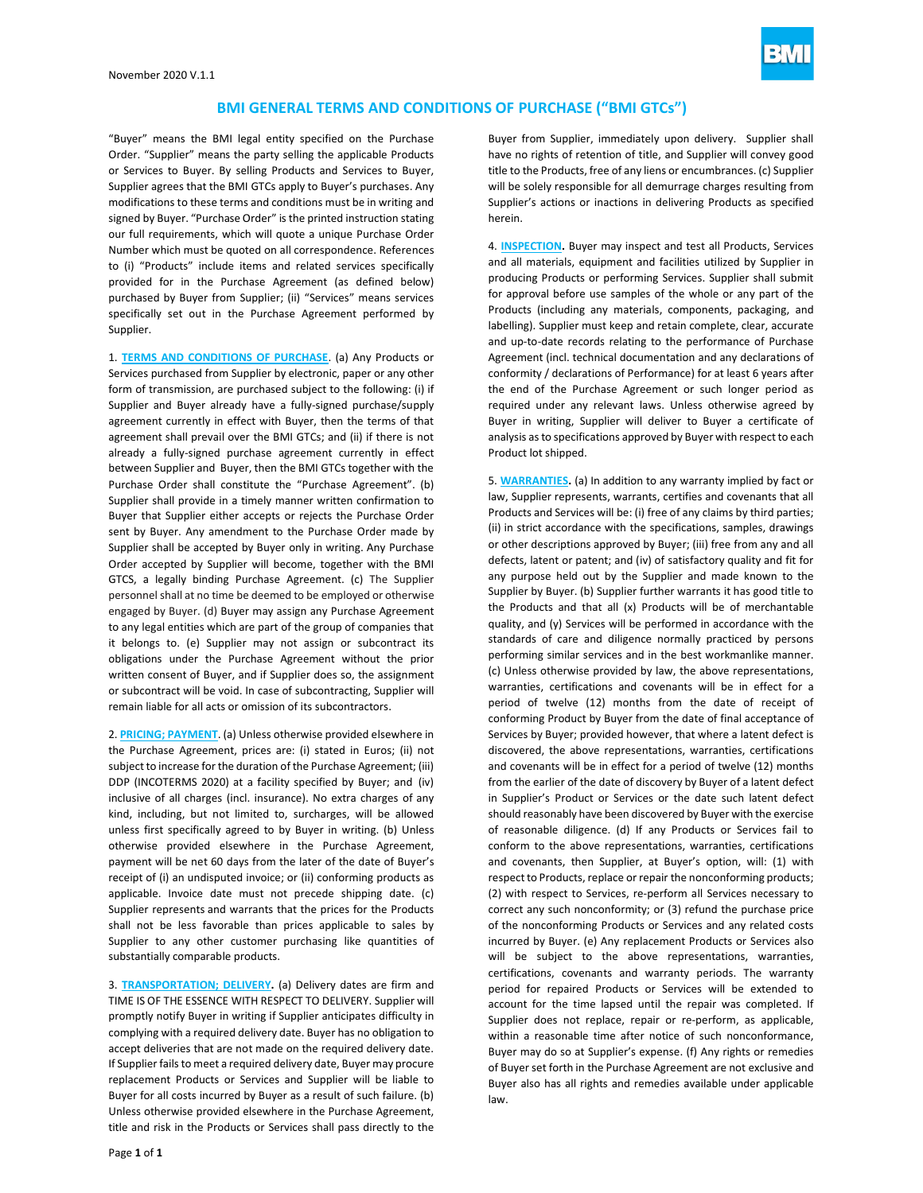

"Buyer" means the BMI legal entity specified on the Purchase Order. "Supplier" means the party selling the applicable Products or Services to Buyer. By selling Products and Services to Buyer, Supplier agrees that the BMI GTCs apply to Buyer's purchases. Any modifications to these terms and conditions must be in writing and signed by Buyer. "Purchase Order" is the printed instruction stating our full requirements, which will quote a unique Purchase Order Number which must be quoted on all correspondence. References to (i) "Products" include items and related services specifically provided for in the Purchase Agreement (as defined below) purchased by Buyer from Supplier; (ii) "Services" means services specifically set out in the Purchase Agreement performed by Supplier.

1. **TERMS AND CONDITIONS OF PURCHASE**. (a) Any Products or Services purchased from Supplier by electronic, paper or any other form of transmission, are purchased subject to the following: (i) if Supplier and Buyer already have a fully-signed purchase/supply agreement currently in effect with Buyer, then the terms of that agreement shall prevail over the BMI GTCs; and (ii) if there is not already a fully-signed purchase agreement currently in effect between Supplier and Buyer, then the BMI GTCs together with the Purchase Order shall constitute the "Purchase Agreement". (b) Supplier shall provide in a timely manner written confirmation to Buyer that Supplier either accepts or rejects the Purchase Order sent by Buyer. Any amendment to the Purchase Order made by Supplier shall be accepted by Buyer only in writing. Any Purchase Order accepted by Supplier will become, together with the BMI GTCS, a legally binding Purchase Agreement. (c) The Supplier personnel shall at no time be deemed to be employed or otherwise engaged by Buyer. (d) Buyer may assign any Purchase Agreement to any legal entities which are part of the group of companies that it belongs to. (e) Supplier may not assign or subcontract its obligations under the Purchase Agreement without the prior written consent of Buyer, and if Supplier does so, the assignment or subcontract will be void. In case of subcontracting, Supplier will remain liable for all acts or omission of its subcontractors.

2. **PRICING; PAYMENT**. (a) Unless otherwise provided elsewhere in the Purchase Agreement, prices are: (i) stated in Euros; (ii) not subject to increase for the duration of the Purchase Agreement; (iii) DDP (INCOTERMS 2020) at a facility specified by Buyer; and (iv) inclusive of all charges (incl. insurance). No extra charges of any kind, including, but not limited to, surcharges, will be allowed unless first specifically agreed to by Buyer in writing. (b) Unless otherwise provided elsewhere in the Purchase Agreement, payment will be net 60 days from the later of the date of Buyer's receipt of (i) an undisputed invoice; or (ii) conforming products as applicable. Invoice date must not precede shipping date. (c) Supplier [represents](about:blank) and warrants that the prices for the Products shall not be less favorable than prices applicable to sales by Supplier to any other customer purchasing like quantities of substantially comparable products.

3. **TRANSPORTATION; DELIVERY.** (a) Delivery dates are firm and TIME IS OF THE ESSENCE WITH RESPECT TO DELIVERY. Supplier will promptly notify Buyer in writing if Supplier anticipates difficulty in complying with a required delivery date. Buyer has no obligation to accept deliveries that are not made on the required delivery date. If Supplier fails to meet a required delivery date, Buyer may procure replacement Products or Services and Supplier will be liable to Buyer for all costs incurred by Buyer as a result of such failure. (b) Unless otherwise provided elsewhere in the Purchase Agreement, title and risk in the Products or Services shall pass directly to the

Buyer from Supplier, immediately upon delivery. Supplier shall have no rights of retention of title, and Supplier will convey good title to the Products, free of any liens or encumbrances. (c) Supplier will be solely responsible for all demurrage charges resulting from Supplier's actions or inactions in delivering Products as specified herein.

4. **INSPECTION.** Buyer may inspect and test all Products, Services and all materials, equipment and facilities utilized by Supplier in producing Products or performing Services. Supplier shall submit for approval before use samples of the whole or any part of the Products (including any materials, components, packaging, and labelling). Supplier must keep and retain complete, clear, accurate and up-to-date records relating to the performance of Purchase Agreement (incl. technical documentation and any declarations of conformity / declarations of Performance) for at least 6 years after the end of the Purchase Agreement or such longer period as required under any relevant laws. Unless otherwise agreed by Buyer in writing, Supplier will deliver to Buyer a certificate of analysis as to specifications approved by Buyer with respect to each Product lot shipped.

5. **WARRANTIES.** (a) In addition to any warranty implied by fact or law, Supplier represents, warrants, certifies and covenants that all Products and Services will be: (i) free of any claims by third parties; (ii) in strict accordance with the specifications, samples, drawings or other descriptions approved by Buyer; (iii) free from any and all defects, latent or patent; and (iv) of satisfactory quality and fit for any purpose held out by the Supplier and made known to the Supplier by Buyer. (b) Supplier further warrants it has good title to the Products and that all (x) Products will be of merchantable quality, and (y) Services will be performed in accordance with the standards of care and diligence normally practiced by persons performing similar services and in the best workmanlike manner. (c) Unless otherwise provided by law, the above representations, warranties, certifications and covenants will be in effect for a period of twelve (12) months from the date of receipt of conforming Product by Buyer from the date of final acceptance of Services by Buyer; provided however, that where a latent defect is discovered, the above representations, warranties, certifications and covenants will be in effect for a period of twelve (12) months from the earlier of the date of discovery by Buyer of a latent defect in Supplier's Product or Services or the date such latent defect should reasonably have been discovered by Buyer with the exercise of reasonable diligence. (d) If any Products or Services fail to conform to the above representations, warranties, certifications and covenants, then Supplier, at Buyer's option, will: (1) with respect to Products, replace or repair the nonconforming products; (2) with respect to Services, re-perform all Services necessary to correct any such nonconformity; or (3) refund the purchase price of the nonconforming Products or Services and any related costs incurred by Buyer. (e) Any replacement Products or Services also will be subject to the above representations, warranties, certifications, covenants and warranty periods. The warranty period for repaired Products or Services will be extended to account for the time lapsed until the repair was completed. If Supplier does not replace, repair or re-perform, as applicable, within a reasonable time after notice of such nonconformance, Buyer may do so at Supplier's expense. (f) Any rights or remedies of Buyer set forth in the Purchase Agreement are not exclusive and Buyer also has all rights and remedies available under applicable law.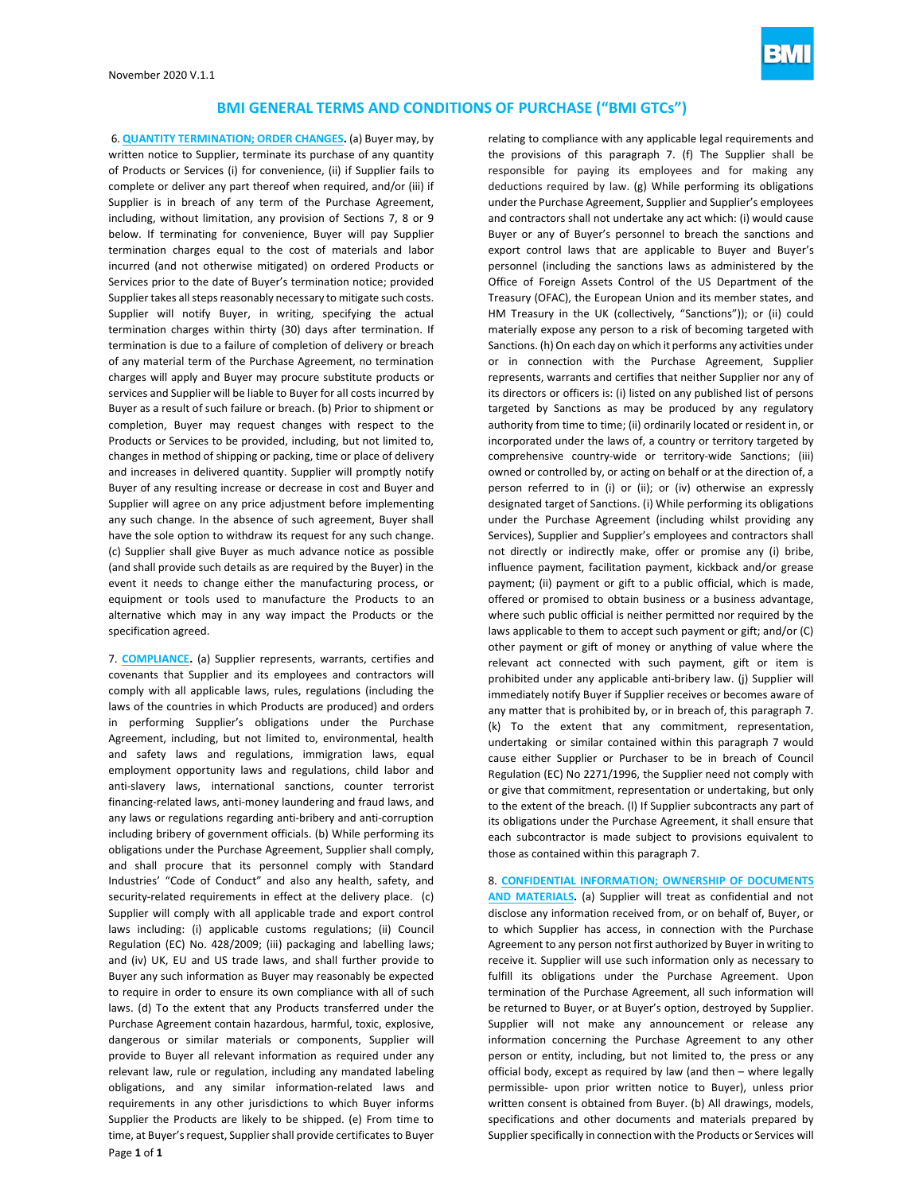

6. **QUANTITY TERMINATION; ORDER CHANGES.** (a) Buyer may, by written notice to Supplier, terminate its purchase of any quantity of Products or Services (i) for convenience, (ii) if Supplier fails to complete or deliver any part thereof when required, and/or (iii) if Supplier is in breach of any term of the Purchase Agreement, including, without limitation, any provision of Sections 7, 8 or 9 below. If terminating for convenience, Buyer will pay Supplier termination charges equal to the cost of materials and labor incurred (and not otherwise mitigated) on ordered Products or Services prior to the date of Buyer's termination notice; provided Supplier takes all steps reasonably necessary to mitigate such costs. Supplier will notify Buyer, in writing, specifying the actual termination charges within thirty (30) days after termination. If termination is due to a failure of completion of delivery or breach of any material term of the Purchase Agreement, no termination charges will apply and Buyer may procure substitute products or services and Supplier will be liable to Buyer for all costs incurred by Buyer as a result of such failure or breach. (b) Prior to shipment or completion, Buyer may request changes with respect to the Products or Services to be provided, including, but not limited to, changes in method of shipping or packing, time or place of delivery and increases in delivered quantity. Supplier will promptly notify Buyer of any resulting increase or decrease in cost and Buyer and Supplier will agree on any price adjustment before implementing any such change. In the absence of such agreement, Buyer shall have the sole option to withdraw its request for any such change. (c) Supplier shall give Buyer as much advance notice as possible (and shall provide such details as are required by the Buyer) in the event it needs to change either the manufacturing process, or equipment or tools used to manufacture the Products to an alternative which may in any way impact the Products or the specification agreed.

7. **COMPLIANCE.** (a) Supplier represents, warrants, certifies and covenants that Supplier and its employees and contractors will comply with all applicable laws, rules, regulations (including the laws of the countries in which Products are produced) and orders in performing Supplier's obligations under the Purchase Agreement, including, but not limited to, environmental, health and safety laws and regulations, immigration laws, equal employment opportunity laws and regulations, child labor and anti-slavery laws, international sanctions, counter terrorist financing-related laws, anti-money laundering and fraud laws, and any laws or regulations regarding anti-bribery and anti-corruption including bribery of government officials. (b) While performing its obligations under the Purchase Agreement, Supplier shall comply, and shall procure that its personnel comply with Standard Industries' "Code of Conduct" and also any health, safety, and security-related requirements in effect at the delivery place. (c) Supplier will comply with all applicable trade and export control laws including: (i) applicable customs regulations; (ii) Council Regulation (EC) No. 428/2009; (iii) packaging and labelling laws; and (iv) UK, EU and US trade laws, and shall further provide to Buyer any such information as Buyer may reasonably be expected to require in order to ensure its own compliance with all of such laws. (d) To the extent that any Products transferred under the Purchase Agreement contain hazardous, harmful, toxic, explosive, dangerous or similar materials or components, Supplier will provide to Buyer all relevant information as required under any relevant law, rule or regulation, including any mandated labeling obligations, and any similar information-related laws and requirements in any other jurisdictions to which Buyer informs Supplier the Products are likely to be shipped. (e) From time to time, at Buyer's request, Supplier shall provide certificates to Buyer

relating to compliance with any applicable legal requirements and the provisions of this paragraph 7. (f) The Supplier shall be responsible for paying its employees and for making any deductions required by law. (g) While performing its obligations under the Purchase Agreement, Supplier and Supplier's employees and contractors shall not undertake any act which: (i) would cause Buyer or any of Buyer's personnel to breach the sanctions and export control laws that are applicable to Buyer and Buyer's personnel (including the sanctions laws as administered by the Office of Foreign Assets Control of the US Department of the Treasury (OFAC), the European Union and its member states, and HM Treasury in the UK (collectively, "Sanctions")); or (ii) could materially expose any person to a risk of becoming targeted with Sanctions. (h) On each day on which it performs any activities under or in connection with the Purchase Agreement, Supplier represents, warrants and certifies that neither Supplier nor any of its directors or officers is: (i) listed on any published list of persons targeted by Sanctions as may be produced by any regulatory authority from time to time; (ii) ordinarily located or resident in, or incorporated under the laws of, a country or territory targeted by comprehensive country-wide or territory-wide Sanctions; (iii) owned or controlled by, or acting on behalf or at the direction of, a person referred to in (i) or (ii); or (iv) otherwise an expressly designated target of Sanctions. (i) While performing its obligations under the Purchase Agreement (including whilst providing any Services), Supplier and Supplier's employees and contractors shall not directly or indirectly make, offer or promise any (i) bribe, influence payment, facilitation payment, kickback and/or grease payment; (ii) payment or gift to a public official, which is made, offered or promised to obtain business or a business advantage, where such public official is neither permitted nor required by the laws applicable to them to accept such payment or gift; and/or (C) other payment or gift of money or anything of value where the relevant act connected with such payment, gift or item is prohibited under any applicable anti-bribery law. (j) Supplier will immediately notify Buyer if Supplier receives or becomes aware of any matter that is prohibited by, or in breach of, this paragraph 7. (k) To the extent that any commitment, representation, undertaking or similar contained within this paragraph 7 would cause either Supplier or Purchaser to be in breach of Council Regulation (EC) No 2271/1996, the Supplier need not comply with or give that commitment, representation or undertaking, but only to the extent of the breach. (l) If Supplier subcontracts any part of its obligations under the Purchase Agreement, it shall ensure that each subcontractor is made subject to provisions equivalent to those as contained within this paragraph 7.

8. **CONFIDENTIAL INFORMATION; OWNERSHIP OF DOCUMENTS AND MATERIALS.** (a) Supplier will treat as confidential and not disclose any information received from, or on behalf of, Buyer, or to which Supplier has access, in connection with the Purchase Agreement to any person not first authorized by Buyer in writing to receive it. Supplier will use such information only as necessary to fulfill its obligations under the Purchase Agreement. Upon termination of the Purchase Agreement, all such information will be returned to Buyer, or at Buyer's option, destroyed by Supplier. Supplier will not make any announcement or release any information concerning the Purchase Agreement to any other person or entity, including, but not limited to, the press or any official body, except as required by law (and then – where legally permissible- upon prior written notice to Buyer), unless prior written consent is obtained from Buyer. (b) All drawings, models, specifications and other documents and materials prepared by Supplier specifically in connection with the Products or Services will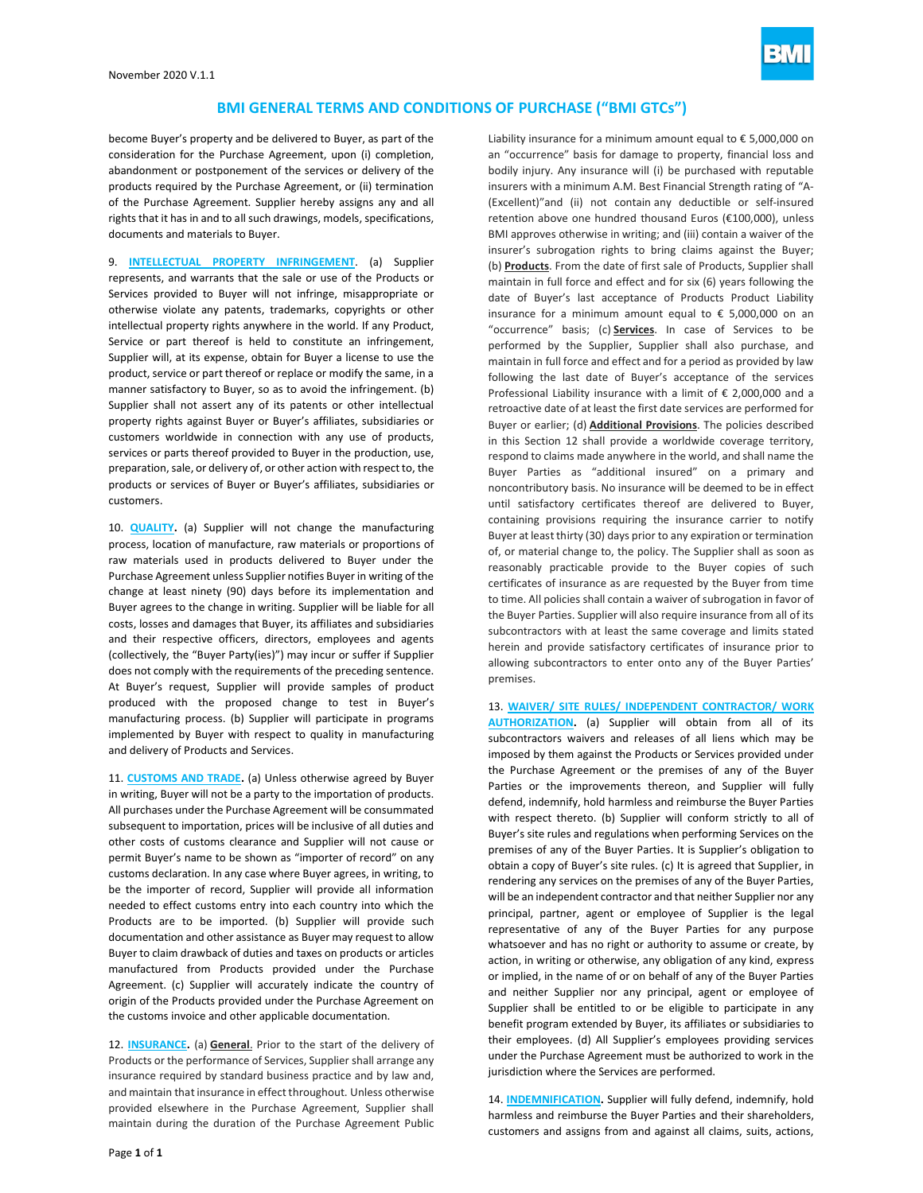

become Buyer's property and be delivered to Buyer, as part of the consideration for the Purchase Agreement, upon (i) completion, abandonment or postponement of the services or delivery of the products required by the Purchase Agreement, or (ii) termination of the Purchase Agreement. Supplier hereby assigns any and all rights that it has in and to all such drawings, models, specifications, documents and materials to Buyer.

9. **INTELLECTUAL PROPERTY INFRINGEMENT**. (a) Supplier represents, and warrants that the sale or use of the Products or Services provided to Buyer will not infringe, misappropriate or otherwise violate any patents, trademarks, copyrights or other intellectual property rights anywhere in the world. If any Product, Service or part thereof is held to constitute an infringement, Supplier will, at its expense, obtain for Buyer a license to use the product, service or part thereof or replace or modify the same, in a manner satisfactory to Buyer, so as to avoid the infringement. (b) Supplier shall not assert any of its patents or other intellectual property rights against Buyer or Buyer's affiliates, subsidiaries or customers worldwide in connection with any use of products, services or parts thereof provided to Buyer in the production, use, preparation, sale, or delivery of, or other action with respect to, the products or services of Buyer or Buyer's affiliates, subsidiaries or customers.

10. **QUALITY.** (a) Supplier will not change the manufacturing process, location of manufacture, raw materials or proportions of raw materials used in products delivered to Buyer under the Purchase Agreement unless Supplier notifies Buyer in writing of the change at least ninety (90) days before its implementation and Buyer agrees to the change in writing. Supplier will be liable for all costs, losses and damages that Buyer, its affiliates and subsidiaries and their respective officers, directors, employees and agents (collectively, the "Buyer Party(ies)") may incur or suffer if Supplier does not comply with the requirements of the preceding sentence. At Buyer's request, Supplier will provide samples of product produced with the proposed change to test in Buyer's manufacturing process. (b) Supplier will participate in programs implemented by Buyer with respect to quality in manufacturing and delivery of Products and Services.

11. **CUSTOMS AND TRADE.** (a) Unless otherwise agreed by Buyer in writing, Buyer will not be a party to the importation of products. All purchases under the Purchase Agreement will be consummated subsequent to importation, prices will be inclusive of all duties and other costs of customs clearance and Supplier will not cause or permit Buyer's name to be shown as "importer of record" on any customs declaration. In any case where Buyer agrees, in writing, to be the importer of record, Supplier will provide all information needed to effect customs entry into each country into which the Products are to be imported. (b) Supplier will provide such documentation and other assistance as Buyer may request to allow Buyer to claim drawback of duties and taxes on products or articles manufactured from Products provided under the Purchase Agreement. (c) Supplier will accurately indicate the country of origin of the Products provided under the Purchase Agreement on the customs invoice and other applicable documentation.

12. **INSURANCE.** (a) **General**. Prior to the start of the delivery of Products or the performance of Services, Supplier shall arrange any insurance required by standard business practice and by law and, and maintain that insurance in effect throughout. Unless otherwise provided elsewhere in the Purchase Agreement, Supplier shall maintain during the duration of the Purchase Agreement Public Liability insurance for a minimum amount equal to € 5,000,000 on an "occurrence" basis for damage to property, financial loss and bodily injury. Any insurance will (i) be purchased with reputable insurers with a minimum A.M. Best Financial Strength rating of "A- (Excellent)"and (ii) not contain any deductible or self-insured retention above one hundred thousand Euros (€100,000), unless BMI approves otherwise in writing; and (iii) contain a waiver of the insurer's subrogation rights to bring claims against the Buyer; (b) **Products**. From the date of first sale of Products, Supplier shall maintain in full force and effect and for six (6) years following the date of Buyer's last acceptance of Products Product Liability insurance for a minimum amount equal to  $\epsilon$  5,000,000 on an "occurrence" basis; (c) **Services**. In case of Services to be performed by the Supplier, Supplier shall also purchase, and maintain in full force and effect and for a period as provided by law following the last date of Buyer's acceptance of the services Professional Liability insurance with a limit of € 2,000,000 and a retroactive date of at least the first date services are performed for Buyer or earlier; (d) **Additional Provisions**. The policies described in this Section 12 shall provide a worldwide coverage territory, respond to claims made anywhere in the world, and shall name the Buyer Parties as "additional insured" on a primary and noncontributory basis. No insurance will be deemed to be in effect until satisfactory certificates thereof are delivered to Buyer, containing provisions requiring the insurance carrier to notify Buyer at least thirty (30) days prior to any expiration or termination of, or material change to, the policy. The Supplier shall as soon as reasonably practicable provide to the Buyer copies of such certificates of insurance as are requested by the Buyer from time to time. All policies shall contain a waiver of subrogation in favor of the Buyer Parties. Supplier will also require insurance from all of its subcontractors with at least the same coverage and limits stated herein and provide satisfactory certificates of insurance prior to allowing subcontractors to enter onto any of the Buyer Parties' premises.

13. **WAIVER/ SITE RULES/ INDEPENDENT CONTRACTOR/ WORK AUTHORIZATION.** (a) Supplier will obtain from all of its subcontractors waivers and releases of all liens which may be imposed by them against the Products or Services provided under the Purchase Agreement or the premises of any of the Buyer Parties or the improvements thereon, and Supplier will fully defend, indemnify, hold harmless and reimburse the Buyer Parties with respect thereto. (b) Supplier will conform strictly to all of Buyer's site rules and regulations when performing Services on the premises of any of the Buyer Parties. It is Supplier's obligation to obtain a copy of Buyer's site rules. (c) It is agreed that Supplier, in rendering any services on the premises of any of the Buyer Parties, will be an independent contractor and that neither Supplier nor any principal, partner, agent or employee of Supplier is the legal representative of any of the Buyer Parties for any purpose whatsoever and has no right or authority to assume or create, by action, in writing or otherwise, any obligation of any kind, express or implied, in the name of or on behalf of any of the Buyer Parties and neither Supplier nor any principal, agent or employee of Supplier shall be entitled to or be eligible to participate in any benefit program extended by Buyer, its affiliates or subsidiaries to their employees. (d) All Supplier's employees providing services under the Purchase Agreement must be authorized to work in the jurisdiction where the Services are performed.

14. **INDEMNIFICATION.** Supplier will fully defend, indemnify, hold harmless and reimburse the Buyer Parties and their shareholders, customers and assigns from and against all claims, suits, actions,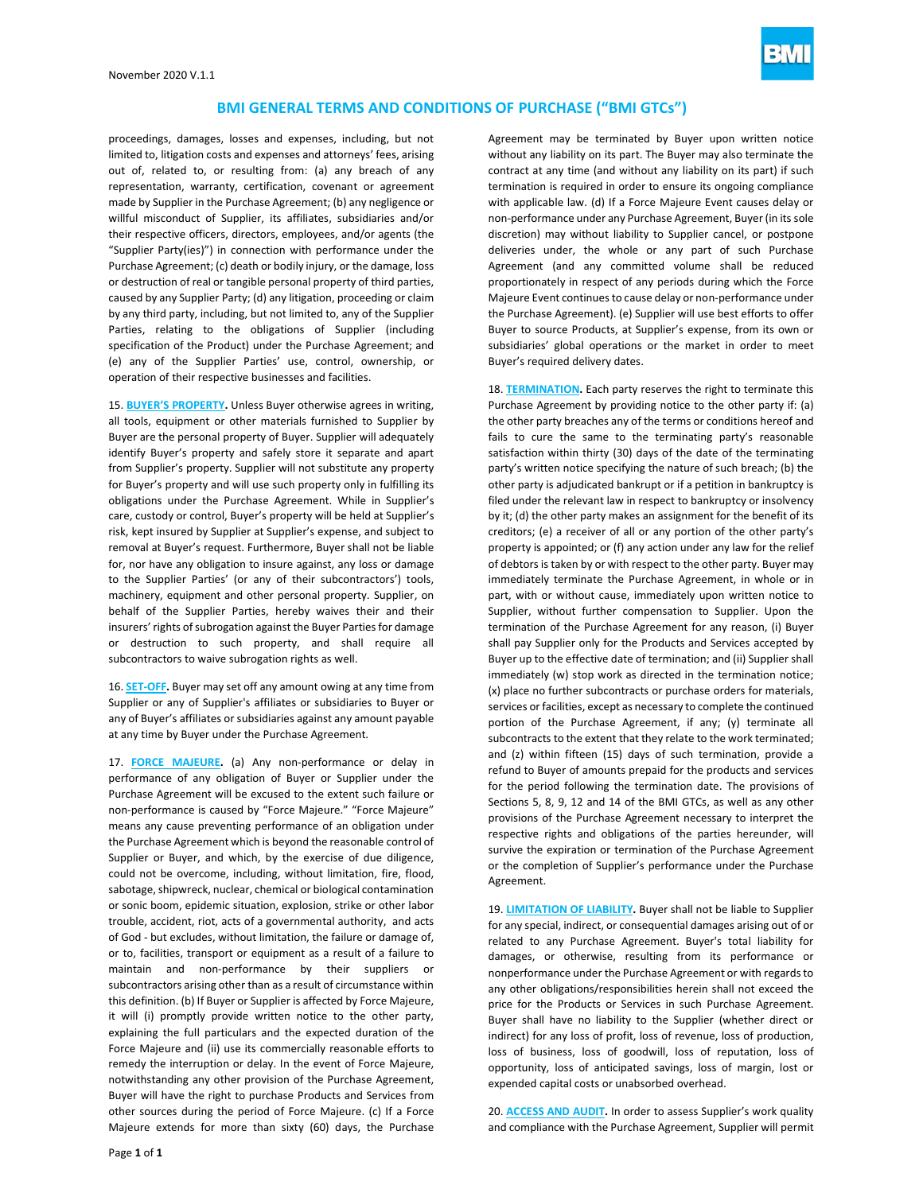

proceedings, damages, losses and expenses, including, but not limited to, litigation costs and expenses and attorneys' fees, arising out of, related to, or resulting from: (a) any breach of any representation, warranty, certification, covenant or agreement made by Supplier in the Purchase Agreement; (b) any negligence or willful misconduct of Supplier, its affiliates, subsidiaries and/or their respective officers, directors, employees, and/or agents (the "Supplier Party(ies)") in connection with performance under the Purchase Agreement; (c) death or bodily injury, or the damage, loss or destruction of real or tangible personal property of third parties, caused by any Supplier Party; (d) any litigation, proceeding or claim by any third party, including, but not limited to, any of the Supplier Parties, relating to the obligations of Supplier (including specification of the Product) under the Purchase Agreement; and (e) any of the Supplier Parties' use, control, ownership, or operation of their respective businesses and facilities.

15. **BUYER'S PROPERTY.** Unless Buyer otherwise agrees in writing, all tools, equipment or other materials furnished to Supplier by Buyer are the personal property of Buyer. Supplier will adequately identify Buyer's property and safely store it separate and apart from Supplier's property. Supplier will not substitute any property for Buyer's property and will use such property only in fulfilling its obligations under the Purchase Agreement. While in Supplier's care, custody or control, Buyer's property will be held at Supplier's risk, kept insured by Supplier at Supplier's expense, and subject to removal at Buyer's request. Furthermore, Buyer shall not be liable for, nor have any obligation to insure against, any loss or damage to the Supplier Parties' (or any of their subcontractors') tools, machinery, equipment and other personal property. Supplier, on behalf of the Supplier Parties, hereby waives their and their insurers' rights of subrogation against the Buyer Parties for damage or destruction to such property, and shall require all subcontractors to waive subrogation rights as well.

16. **SET-OFF.** Buyer may set off any amount owing at any time from Supplier or any of Supplier's affiliates or subsidiaries to Buyer or any of Buyer's affiliates or subsidiaries against any amount payable at any time by Buyer under the Purchase Agreement.

17. **FORCE MAJEURE.** (a) Any non-performance or delay in performance of any obligation of Buyer or Supplier under the Purchase Agreement will be excused to the extent such failure or non-performance is caused by "Force Majeure." "Force Majeure" means any cause preventing performance of an obligation under the Purchase Agreement which is beyond the reasonable control of Supplier or Buyer, and which, by the exercise of due diligence, could not be overcome, including, without limitation, fire, flood, sabotage, shipwreck, nuclear, chemical or biological contamination or sonic boom, epidemic situation, explosion, strike or other labor trouble, accident, riot, acts of a governmental authority, and acts of God - but excludes, without limitation, the failure or damage of, or to, facilities, transport or equipment as a result of a failure to maintain and non-performance by their suppliers or subcontractors arising other than as a result of circumstance within this definition. (b) If Buyer or Supplier is affected by Force Majeure, it will (i) promptly provide written notice to the other party, explaining the full particulars and the expected duration of the Force Majeure and (ii) use its commercially reasonable efforts to remedy the interruption or delay. In the event of Force Majeure, notwithstanding any other provision of the Purchase Agreement, Buyer will have the right to purchase Products and Services from other sources during the period of Force Majeure. (c) If a Force Majeure extends for more than sixty (60) days, the Purchase

Agreement may be terminated by Buyer upon written notice without any liability on its part. The Buyer may also terminate the contract at any time (and without any liability on its part) if such termination is required in order to ensure its ongoing compliance with applicable law. (d) If a Force Majeure Event causes delay or non-performance under any Purchase Agreement, Buyer (in its sole discretion) may without liability to Supplier cancel, or postpone deliveries under, the whole or any part of such Purchase Agreement (and any committed volume shall be reduced proportionately in respect of any periods during which the Force Majeure Event continues to cause delay or non-performance under the Purchase Agreement). (e) Supplier will use best efforts to offer Buyer to source Products, at Supplier's expense, from its own or subsidiaries' global operations or the market in order to meet Buyer's required delivery dates.

18. **TERMINATION.** Each party reserves the right to terminate this Purchase Agreement by providing notice to the other party if: (a) the other party breaches any of the terms or conditions hereof and fails to cure the same to the terminating party's reasonable satisfaction within thirty (30) days of the date of the terminating party's written notice specifying the nature of such breach; (b) the other party is adjudicated bankrupt or if a petition in bankruptcy is filed under the relevant law in respect to bankruptcy or insolvency by it; (d) the other party makes an assignment for the benefit of its creditors; (e) a receiver of all or any portion of the other party's property is appointed; or (f) any action under any law for the relief of debtors is taken by or with respect to the other party. Buyer may immediately terminate the Purchase Agreement, in whole or in part, with or without cause, immediately upon written notice to Supplier, without further compensation to Supplier. Upon the termination of the Purchase Agreement for any reason, (i) Buyer shall pay Supplier only for the Products and Services accepted by Buyer up to the effective date of termination; and (ii) Supplier shall immediately (w) stop work as directed in the termination notice; (x) place no further subcontracts or purchase orders for materials, services or facilities, except as necessary to complete the continued portion of the Purchase Agreement, if any; (y) terminate all subcontracts to the extent that they relate to the work terminated; and (z) within fifteen (15) days of such termination, provide a refund to Buyer of amounts prepaid for the products and services for the period following the termination date. The provisions of Sections 5, 8, 9, 12 and 14 of the BMI GTCs, as well as any other provisions of the Purchase Agreement necessary to interpret the respective rights and obligations of the parties hereunder, will survive the expiration or termination of the Purchase Agreement or the completion of Supplier's performance under the Purchase Agreement.

19. **LIMITATION OF LIABILITY.** Buyer shall not be liable to Supplier for any special, indirect, or consequential damages arising out of or related to any Purchase Agreement. Buyer's total liability for damages, or otherwise, resulting from its performance or nonperformance under the Purchase Agreement or with regards to any other obligations/responsibilities herein shall not exceed the price for the Products or Services in such Purchase Agreement. Buyer shall have no liability to the Supplier (whether direct or indirect) for any loss of profit, loss of revenue, loss of production, loss of business, loss of goodwill, loss of reputation, loss of opportunity, loss of anticipated savings, loss of margin, lost or expended capital costs or unabsorbed overhead.

20. **ACCESS AND AUDIT.** In order to assess Supplier's work quality and compliance with the Purchase Agreement, Supplier will permit